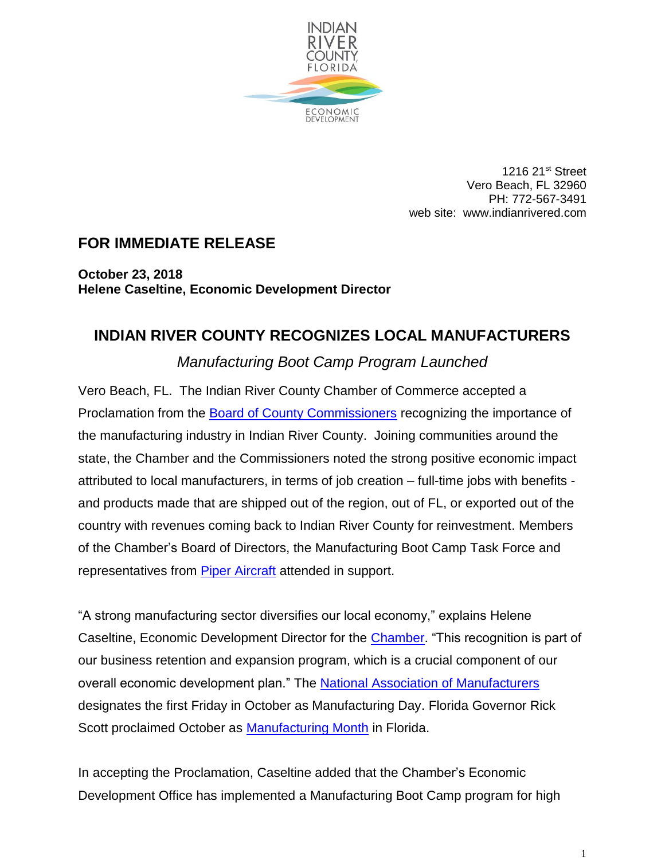

1216 21st Street Vero Beach, FL 32960 PH: 772-567-3491 web site: www.indianrivered.com

## **FOR IMMEDIATE RELEASE**

**October 23, 2018 Helene Caseltine, Economic Development Director**

## **INDIAN RIVER COUNTY RECOGNIZES LOCAL MANUFACTURERS**

## *Manufacturing Boot Camp Program Launched*

Vero Beach, FL. The Indian River County Chamber of Commerce accepted a Proclamation from the [Board of County Commissioners](http://www.ircgov.com/) recognizing the importance of the manufacturing industry in Indian River County. Joining communities around the state, the Chamber and the Commissioners noted the strong positive economic impact attributed to local manufacturers, in terms of job creation – full-time jobs with benefits and products made that are shipped out of the region, out of FL, or exported out of the country with revenues coming back to Indian River County for reinvestment. Members of the Chamber's Board of Directors, the Manufacturing Boot Camp Task Force and representatives from **Piper Aircraft** attended in support.

"A strong manufacturing sector diversifies our local economy," explains Helene Caseltine, Economic Development Director for the **Chamber**. "This recognition is part of our business retention and expansion program, which is a crucial component of our overall economic development plan." The [National Association of Manufacturers](http://www.nam.org/) designates the first Friday in October as Manufacturing Day. Florida Governor Rick Scott proclaimed October as [Manufacturing Month](https://www.floridamakes.com/news/news-releases/news/october-is-manufacturing-month-governor-rick-scott-issues-proclamation.stml) in Florida.

In accepting the Proclamation, Caseltine added that the Chamber's Economic Development Office has implemented a Manufacturing Boot Camp program for high